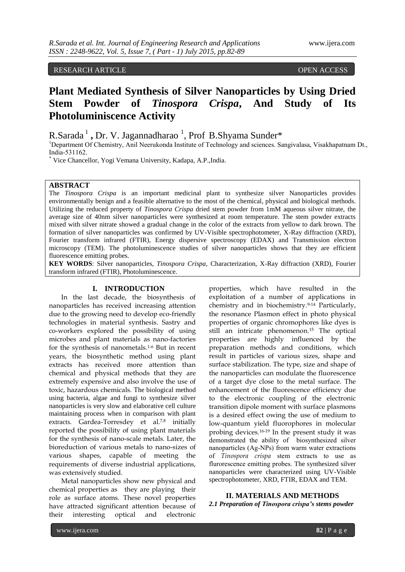## RESEARCH ARTICLE OPEN ACCESS

# **Plant Mediated Synthesis of Silver Nanoparticles by Using Dried Stem Powder of** *Tinospora Crispa***, And Study of Its Photoluminiscence Activity**

R.Sarada<sup>1</sup>, Dr. V. Jagannadharao<sup>1</sup>, Prof B.Shyama Sunder\*

<sup>1</sup>Department Of Chemistry, Anil Neerukonda Institute of Technology and sciences. Sangivalasa, Visakhapatnam Dt., India-531162.

*\** Vice Chancellor, Yogi Vemana University, Kadapa, A.P.,India.

## **ABSTRACT**

The *Tinospora Crispa* is an important medicinal plant to synthesize silver Nanoparticles provides environmentally benign and a feasible alternative to the most of the chemical, physical and biological methods. Utilizing the reduced property of *Tinospora Crispa* dried stem powder from 1mM aqueous silver nitrate, the average size of 40nm silver nanoparticles were synthesized at room temperature. The stem powder extracts mixed with silver nitrate showed a gradual change in the color of the extracts from yellow to dark brown. The formation of silver nanoparticles was confirmed by UV-Visible spectrophotometer, X-Ray diffraction (XRD), Fourier transform infrared (FTIR), Energy dispersive spectroscopy (EDAX) and Transmission electron microscopy (TEM). The photoluminescence studies of silver nanoparticles shows that they are efficient fluorescence emitting probes.

**KEY WORDS**: Silver nanoparticles, *Tinospora Crispa,* Characterization, X-Ray diffraction (XRD), Fourier transform infrared (FTIR), Photoluminescence.

## **I. INTRODUCTION**

In the last decade, the biosynthesis of nanoparticles has received increasing attention due to the growing need to develop eco-friendly technologies in material synthesis. Sastry and co-workers explored the possibility of using microbes and plant materials as nano-factories for the synthesis of nanometals.1-6 But in recent years, the biosynthetic method using plant extracts has received more attention than chemical and physical methods that they are extremely expensive and also involve the use of toxic, hazardous chemicals. The biological method using bacteria, algae and fungi to synthesize silver nanoparticles is very slow and elaborative cell culture maintaining process when in comparison with plant extracts. Gardea-Torresdey et al.<sup>7,8</sup> initially reported the possibility of using plant materials for the synthesis of nano-scale metals. Later, the bioreduction of various metals to nano-sizes of various shapes, capable of meeting the requirements of diverse industrial applications, was extensively studied.

Metal nanoparticles show new physical and chemical properties as they are playing their role as surface atoms. These novel properties have attracted significant attention because of their interesting optical and electronic

properties, which have resulted in the exploitation of a number of applications in chemistry and in biochemistry.9-14 Particularly, the resonance Plasmon effect in photo physical properties of organic chromophores like dyes is still an intricate phenomenon.<sup>15</sup> The optical properties are highly influenced by the preparation methods and conditions, which result in particles of various sizes, shape and surface stabilization. The type, size and shape of the nanoparticles can modulate the fluorescence of a target dye close to the metal surface. The enhancement of the fluorescence efficiency due to the electronic coupling of the electronic transition dipole moment with surface plasmons is a desired effect owing the use of medium to low-quantum yield fluorophores in molecular probing devices.16-19 In the present study it was demonstrated the ability of biosynthesized silver nanoparticles (Ag-NPs) from warm water extractions of *Tinospora crispa* stem extracts to use as flurorescence emitting probes. The synthesized silver nanoparticles were characterized using UV-Visible spectrophotometer, XRD, FTIR, EDAX and TEM.

**II. MATERIALS AND METHODS** *2.1 Preparation of Tinospora crispa's stems powder*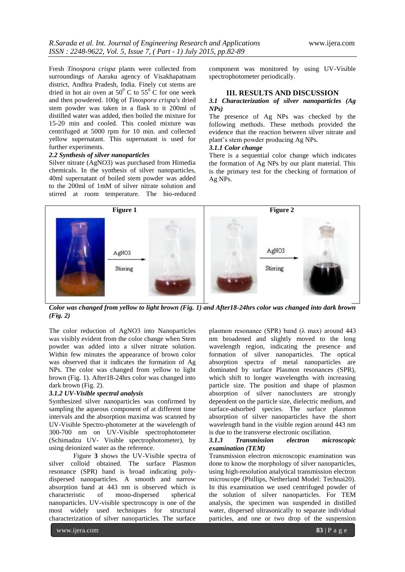Fresh *Tinospora crispa* plants were collected from surroundings of Aaraku agency of Visakhapatnam district, Andhra Pradesh, India. Finely cut stems are dried in hot air oven at  $50^{\circ}$  C to  $55^{\circ}$  C for one week and then powdered. 100g of *Tinospora crispa's* dried stem powder was taken in a flask to it 200ml of distilled water was added, then boiled the mixture for 15-20 min and cooled. This cooled mixture was centrifuged at 5000 rpm for 10 min. and collected yellow supernatant. This supernatant is used for further experiments.

#### *2.2 Synthesis of silver nanoparticles*

Silver nitrate (AgNO3) was purchased from Himedia chemicals. In the synthesis of silver nanoparticles, 40ml supernatant of boiled stem powder was added to the 200ml of 1mM of silver nitrate solution and stirred at room temperature. The bio-reduced component was monitored by using UV-Visible spectrophotometer periodically.

### **III. RESULTS AND DISCUSSION**

#### *3.1 Characterization of silver nanoparticles (Ag NPs)*

The presence of Ag NPs was checked by the following methods. These methods provided the evidence that the reaction between silver nitrate and plant's stem powder producing Ag NPs.

#### *3.1.1 Color change*

There is a sequential color change which indicates the formation of Ag NPs by our plant material. This is the primary test for the checking of formation of Ag NPs.



*Color was changed from yellow to light brown (Fig. 1) and After18-24hrs color was changed into dark brown (Fig. 2)*

The color reduction of AgNO3 into Nanoparticles was visibly evident from the color change when Stem powder was added into a silver nitrate solution. Within few minutes the appearance of brown color was observed that it indicates the formation of Ag NPs. The color was changed from yellow to light brown (Fig. 1). After18-24hrs color was changed into dark brown (Fig. 2).

#### *3.1.2 UV-Visible spectral analysis*

Synthesized silver nanoparticles was confirmed by sampling the aqueous component of at different time intervals and the absorption maxima was scanned by UV-Visible Spectro-photometer at the wavelength of 300-700 nm on UV-Visible spectrophotometer (Schimadzu UV- Visible spectrophotometer), by using deionized water as the reference.

Figure **3** shows the UV-Visible spectra of silver colloid obtained. The surface Plasmon resonance (SPR) band is broad indicating polydispersed nanoparticles. A smooth and narrow absorption band at 443 nm is observed which is characteristic of mono-dispersed spherical nanoparticles. UV-visible spectroscopy is one of the most widely used techniques for structural characterization of silver nanoparticles. The surface

plasmon resonance (SPR) band ( $\lambda$  max) around 443 nm broadened and slightly moved to the long wavelength region, indicating the presence and formation of silver nanoparticles. The optical absorption spectra of metal nanoparticles are dominated by surface Plasmon resonances (SPR), which shift to longer wavelengths with increasing particle size. The position and shape of plasmon absorption of silver nanoclusters are strongly dependent on the particle size, dielectric medium, and surface-adsorbed species. The surface plasmon absorption of silver nanoparticles have the short wavelength band in the visible region around 443 nm is due to the transverse electronic oscillation.

#### *3.1.3 Transmission electron microscopic examination (TEM)*

Transmission electron microscopic examination was done to know the morphology of silver nanoparticles, using high-resolution analytical transmission electron microscope (Phillips, Netherland Model: Technai20). In this examination we used centrifuged powder of the solution of silver nanoparticles. For TEM analysis, the specimen was suspended in distilled water, dispersed ultrasonically to separate individual particles, and one or two drop of the suspension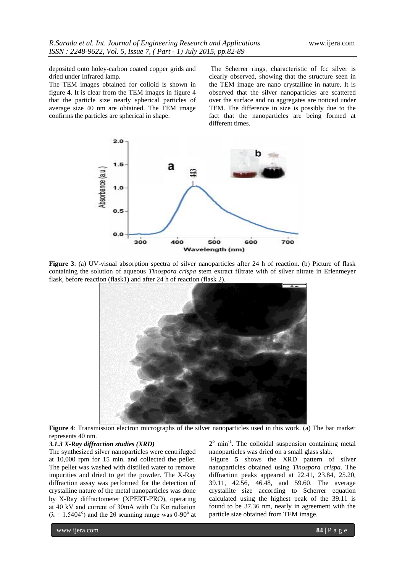deposited onto holey-carbon coated copper grids and dried under Infrared lamp.

The TEM images obtained for colloid is shown in figure **4**. It is clear from the TEM images in figure 4 that the particle size nearly spherical particles of average size 40 nm are obtained. The TEM image confirms the particles are spherical in shape.

The Scherrer rings, characteristic of fcc silver is clearly observed, showing that the structure seen in the TEM image are nano crystalline in nature. It is observed that the silver nanoparticles are scattered over the surface and no aggregates are noticed under TEM. The difference in size is possibly due to the fact that the nanoparticles are being formed at different times.



**Figure 3**: (a) UV-visual absorption spectra of silver nanoparticles after 24 h of reaction. (b) Picture of flask containing the solution of aqueous *Tinospora crispa* stem extract filtrate with of silver nitrate in Erlenmeyer flask, before reaction (flask1) and after 24 h of reaction (flask 2).



**Figure 4**: Transmission electron micrographs of the silver nanoparticles used in this work. (a) The bar marker represents 40 nm.

#### *3.1.3 X-Ray diffraction studies (XRD)*

The synthesized silver nanoparticles were centrifuged at 10,000 rpm for 15 min. and collected the pellet. The pellet was washed with distilled water to remove impurities and dried to get the powder. The X-Ray diffraction assay was performed for the detection of crystalline nature of the metal nanoparticles was done by X-Ray diffractometer (XPERT-PRO), operating at 40 kV and current of 30mA with Cu Kα radiation  $(\lambda = 1.5404^{\circ})$  and the 2 $\theta$  scanning range was 0-90° at

2<sup>°</sup> min<sup>-1</sup>. The colloidal suspension containing metal nanoparticles was dried on a small glass slab.

Figure **5** shows the XRD pattern of silver nanoparticles obtained using *Tinospora crispa*. The diffraction peaks appeared at 22.41, 23.84, 25.20, 39.11, 42.56, 46.48, and 59.60. The average crystallite size according to Scherrer equation calculated using the highest peak of the 39.11 is found to be 37.36 nm, nearly in agreement with the particle size obtained from TEM image.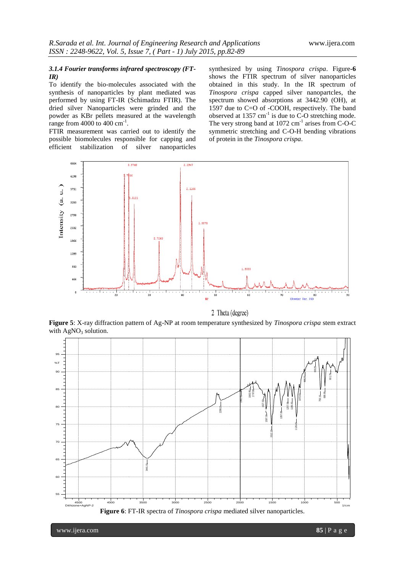## *3.1.4 Fourier transforms infrared spectroscopy (FT-IR)*

To identify the bio-molecules associated with the synthesis of nanoparticles by plant mediated was performed by using FT-IR (Schimadzu FTIR). The dried silver Nanoparticles were grinded and the powder as KBr pellets measured at the wavelength range from  $4000$  to  $400 \text{ cm}^{-1}$ .

FTIR measurement was carried out to identify the possible biomolecules responsible for capping and efficient stabilization of silver nanoparticles synthesized by using *Tinospora crispa*. Figure**-6** shows the FTIR spectrum of silver nanoparticles obtained in this study. In the IR spectrum of *Tinospora crispa* capped silver nanopartcles, the spectrum showed absorptions at 3442.90 (OH), at 1597 due to C=O of -COOH, respectively. The band observed at  $1357 \text{ cm}^{-1}$  is due to C-O stretching mode. The very strong band at  $1072 \text{ cm}^{-1}$  arises from C-O-C symmetric stretching and C-O-H bending vibrations of protein in the *Tinospora crispa*.



2 Theta (degree)

**Figure 5**: X-ray diffraction pattern of Ag-NP at room temperature synthesized by *Tinospora crispa* stem extract with  $AgNO<sub>3</sub>$  solution.



www.ijera.com **85** | P a g e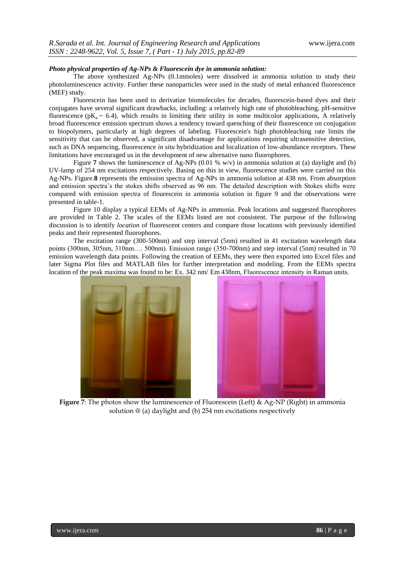### *Photo physical properties of Ag-NPs & Fluorescein dye in ammonia solution:*

The above synthesized Ag-NPs (0.1mmoles) were dissolved in ammonia solution to study their photoluminescence activity. Further these nanoparticles were used in the study of metal enhanced fluorescence (MEF) study.

Fluorescein has been used to derivatize biomolecules for decades, fluorescein-based dyes and their conjugates have several significant drawbacks, including: a relatively high rate of photobleaching, pH-sensitive fluorescence (pK<sub>a</sub>  $\sim$  6.4), which results in limiting their utility in some multicolor applications, A relatively broad fluorescence emission spectrum shows a tendency toward quenching of their fluorescence on conjugation to biopolymers, particularly at high degrees of labeling. Fluorescein's high photobleaching rate limits the sensitivity that can be observed, a significant disadvantage for applications requiring ultrasensitive detection, such as DNA sequencing, fluorescence *in situ* hybridization and localization of low-abundance receptors. These limitations have encouraged us in the development of new alternative nano fluorophores.

Figure **7** shows the luminescence of Ag-NPs (0.01 % w/v) in ammonia solution at (a) daylight and (b) UV-lamp of 254 nm excitations respectively. Basing on this in view, fluorescence studies were carried on this Ag-NPs. Figure.**8** represents the emission spectra of Ag-NPs in ammonia solution at 438 nm. From absorption and emission spectra's the stokes shifts observed as 96 nm. The detailed description with Stokes shifts were compared with emission spectra of flourescein in ammonia solution in figure 9 and the observations were presented in table-1.

Figure 10 display a typical EEMs of Ag-NPs in ammonia. Peak locations and suggested fluorophores are provided in Table 2. The scales of the EEMs listed are not consistent. The purpose of the following discussion is to identify *location* of fluorescent centers and compare those locations with previously identified peaks and their represented fluorophores.

The excitation range (300-500nm) and step interval (5nm) resulted in 41 excitation wavelength data points (300nm, 305nm, 310nm…. 500nm). Emission range (350-700nm) and step interval (5nm) resulted in 70 emission wavelength data points. Following the creation of EEMs, they were then exported into Excel files and later Sigma Plot files and MATLAB files for further interpretation and modeling. From the EEMs spectra location of the peak maxima was found to be: Ex. 342 nm/ Em 438nm, Fluorescence intensity in Raman units.





**Figure 7**: The photos show the luminescence of Fluorescein (Left) & Ag-NP (Right) in ammonia solution @ (a) daylight and (b) 254 nm excitations respectively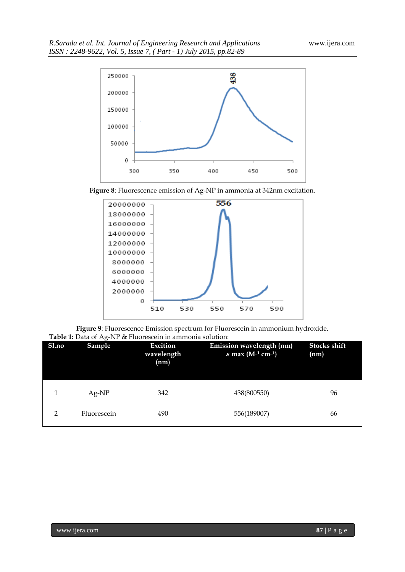

**Figure 8**: Fluorescence emission of Ag-NP in ammonia at 342nm excitation.



**Figure 9**: Fluorescence Emission spectrum for Fluorescein in ammonium hydroxide. **Table 1:** Data of Ag-NP & Fluorescein in ammonia solution:

| Sl.no          | $\checkmark$<br>Sample | Excition<br>wavelength<br>(nm) | Emission wavelength (nm)<br>$\varepsilon$ max (M <sup>-1</sup> cm <sup>-1</sup> ) | <b>Stocks shift</b><br>(nm) |
|----------------|------------------------|--------------------------------|-----------------------------------------------------------------------------------|-----------------------------|
| 1              | $Ag-NP$                | 342                            | 438(800550)                                                                       | 96                          |
| $\overline{2}$ | Fluorescein            | 490                            | 556(189007)                                                                       | 66                          |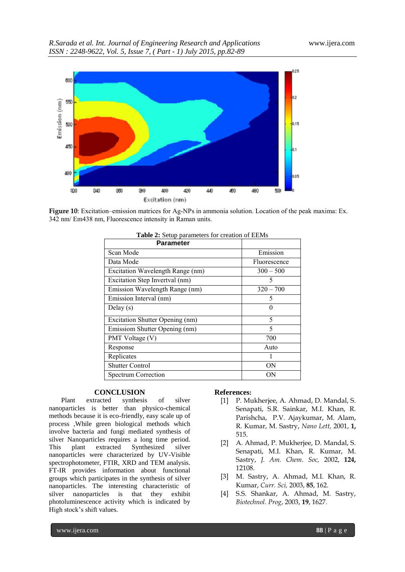

**Figure 10**: Excitation–emission matrices for Ag-NPs in ammonia solution. Location of the peak maxima: Ex. 342 nm/ Em438 nm, Fluorescence intensity in Raman units.

| <b>Parameter</b>                 |              |
|----------------------------------|--------------|
| Scan Mode                        | Emission     |
| Data Mode                        | Fluorescence |
| Excitation Wavelength Range (nm) | $300 - 500$  |
| Excitation Step Invertval (nm)   | 5            |
| Emission Wavelength Range (nm)   | $320 - 700$  |
| Emission Interval (nm)           | 5            |
| Delay $(s)$                      | 0            |
| Excitation Shutter Opening (nm)  | 5            |
| Emissiom Shutter Opening (nm)    | 5            |
| PMT Voltage (V)                  | 700          |
| Response                         | Auto         |
| Replicates                       |              |
| <b>Shutter Control</b>           | ΟN           |
| <b>Spectrum Correction</b>       | ON           |

| Table 2: Setup parameters for creation of EEMs |  |
|------------------------------------------------|--|
|------------------------------------------------|--|

#### **CONCLUSION**

Plant extracted synthesis of silver nanoparticles is better than physico-chemical methods because it is eco-friendly, easy scale up of process ,While green biological methods which involve bacteria and fungi mediated synthesis of silver Nanoparticles requires a long time period. This plant extracted Synthesized silver nanoparticles were characterized by UV-Visible spectrophotometer, FTIR, XRD and TEM analysis. FT-IR provides information about functional groups which participates in the synthesis of silver nanoparticles. The interesting characteristic of silver nanoparticles is that they exhibit photoluminescence activity which is indicated by High stock's shift values.

#### **References:**

- [1] P. Mukherjee, A. Ahmad, D. Mandal, S. Senapati, S.R. Sainkar, M.I. Khan, R. Parishcha, P.V. Ajaykumar, M. Alam, R. Kumar, M. Sastry, *Nano Lett,* 2001, **1,** 515.
- [2] A. Ahmad, P. Mukherjee, D. Mandal, S. Senapati, M.I. Khan, R. Kumar, M. Sastry, *J. Am. Chem. Soc,* 2002, **124,** 12108.
- [3] M. Sastry, A. Ahmad, M.I. Khan, R. Kumar, *Curr. Sci,* 2003, **85**, 162.
- [4] S.S. Shankar, A. Ahmad, M. Sastry, *Biotechnol. Prog*, 2003, **19**, 1627.